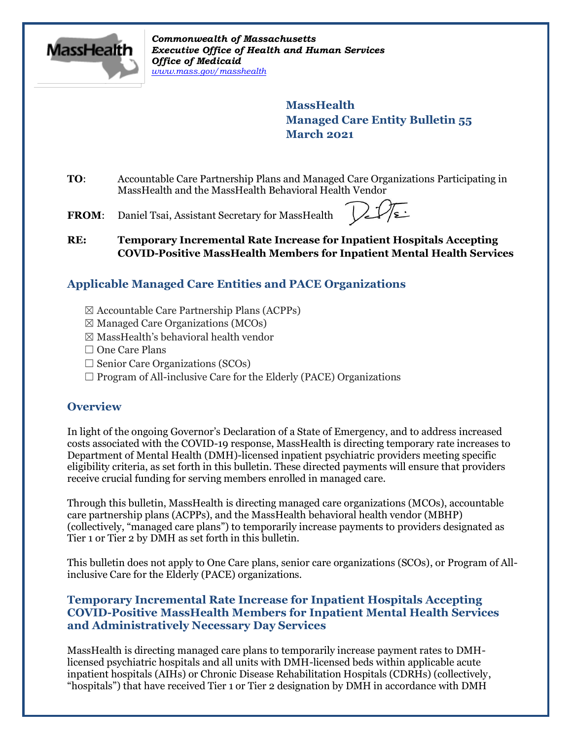

*Commonwealth of Massachusetts Executive Office of Health and Human Services Office of Medicaid [www.mass.gov/masshealth](http://www.mass.gov/masshealth)*

> **MassHealth Managed Care Entity Bulletin 55 March 2021**

- **TO**: Accountable Care Partnership Plans and Managed Care Organizations Participating in MassHealth and the MassHealth Behavioral Health Vendor
- FROM: Daniel Tsai, Assistant Secretary for MassHealth

**RE: Temporary Incremental Rate Increase for Inpatient Hospitals Accepting COVID-Positive MassHealth Members for Inpatient Mental Health Services**

# **Applicable Managed Care Entities and PACE Organizations**

- $\boxtimes$  Accountable Care Partnership Plans (ACPPs)
- $\boxtimes$  Managed Care Organizations (MCOs)
- $\boxtimes$  MassHealth's behavioral health vendor
- □ One Care Plans
- $\Box$  Senior Care Organizations (SCOs)
- $\Box$  Program of All-inclusive Care for the Elderly (PACE) Organizations

# **Overview**

In light of the ongoing Governor's Declaration of a State of Emergency, and to address increased costs associated with the COVID-19 response, MassHealth is directing temporary rate increases to Department of Mental Health (DMH)-licensed inpatient psychiatric providers meeting specific eligibility criteria, as set forth in this bulletin. These directed payments will ensure that providers receive crucial funding for serving members enrolled in managed care.

Through this bulletin, MassHealth is directing managed care organizations (MCOs), accountable care partnership plans (ACPPs), and the MassHealth behavioral health vendor (MBHP) (collectively, "managed care plans") to temporarily increase payments to providers designated as Tier 1 or Tier 2 by DMH as set forth in this bulletin.

This bulletin does not apply to One Care plans, senior care organizations (SCOs), or Program of Allinclusive Care for the Elderly (PACE) organizations.

# **Temporary Incremental Rate Increase for Inpatient Hospitals Accepting COVID-Positive MassHealth Members for Inpatient Mental Health Services and Administratively Necessary Day Services**

MassHealth is directing managed care plans to temporarily increase payment rates to DMHlicensed psychiatric hospitals and all units with DMH-licensed beds within applicable acute inpatient hospitals (AIHs) or Chronic Disease Rehabilitation Hospitals (CDRHs) (collectively, "hospitals") that have received Tier 1 or Tier 2 designation by DMH in accordance with DMH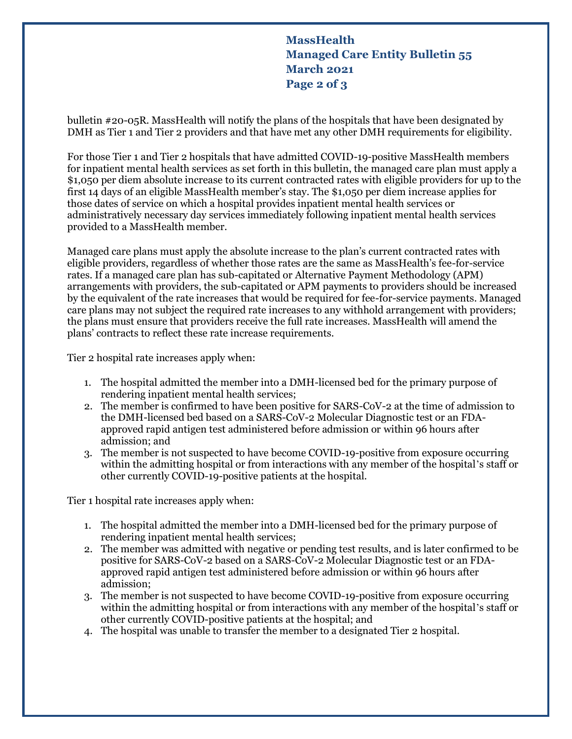**MassHealth Managed Care Entity Bulletin 55 March 2021 Page 2 of 3**

bulletin #20-05R. MassHealth will notify the plans of the hospitals that have been designated by DMH as Tier 1 and Tier 2 providers and that have met any other DMH requirements for eligibility.

For those Tier 1 and Tier 2 hospitals that have admitted COVID-19-positive MassHealth members for inpatient mental health services as set forth in this bulletin, the managed care plan must apply a \$1,050 per diem absolute increase to its current contracted rates with eligible providers for up to the first 14 days of an eligible MassHealth member's stay. The \$1,050 per diem increase applies for those dates of service on which a hospital provides inpatient mental health services or administratively necessary day services immediately following inpatient mental health services provided to a MassHealth member.

Managed care plans must apply the absolute increase to the plan's current contracted rates with eligible providers, regardless of whether those rates are the same as MassHealth's fee-for-service rates. If a managed care plan has sub-capitated or Alternative Payment Methodology (APM) arrangements with providers, the sub-capitated or APM payments to providers should be increased by the equivalent of the rate increases that would be required for fee-for-service payments. Managed care plans may not subject the required rate increases to any withhold arrangement with providers; the plans must ensure that providers receive the full rate increases. MassHealth will amend the plans' contracts to reflect these rate increase requirements.

Tier 2 hospital rate increases apply when:

- 1. The hospital admitted the member into a DMH-licensed bed for the primary purpose of rendering inpatient mental health services;
- 2. The member is confirmed to have been positive for SARS-CoV-2 at the time of admission to the DMH-licensed bed based on a SARS-CoV-2 Molecular Diagnostic test or an FDAapproved rapid antigen test administered before admission or within 96 hours after admission; and
- 3. The member is not suspected to have become COVID-19-positive from exposure occurring within the admitting hospital or from interactions with any member of the hospital's staff or other currently COVID-19-positive patients at the hospital.

Tier 1 hospital rate increases apply when:

- 1. The hospital admitted the member into a DMH-licensed bed for the primary purpose of rendering inpatient mental health services;
- 2. The member was admitted with negative or pending test results, and is later confirmed to be positive for SARS-CoV-2 based on a SARS-CoV-2 Molecular Diagnostic test or an FDAapproved rapid antigen test administered before admission or within 96 hours after admission;
- 3. The member is not suspected to have become COVID-19-positive from exposure occurring within the admitting hospital or from interactions with any member of the hospital's staff or other currently COVID-positive patients at the hospital; and
- 4. The hospital was unable to transfer the member to a designated Tier 2 hospital.